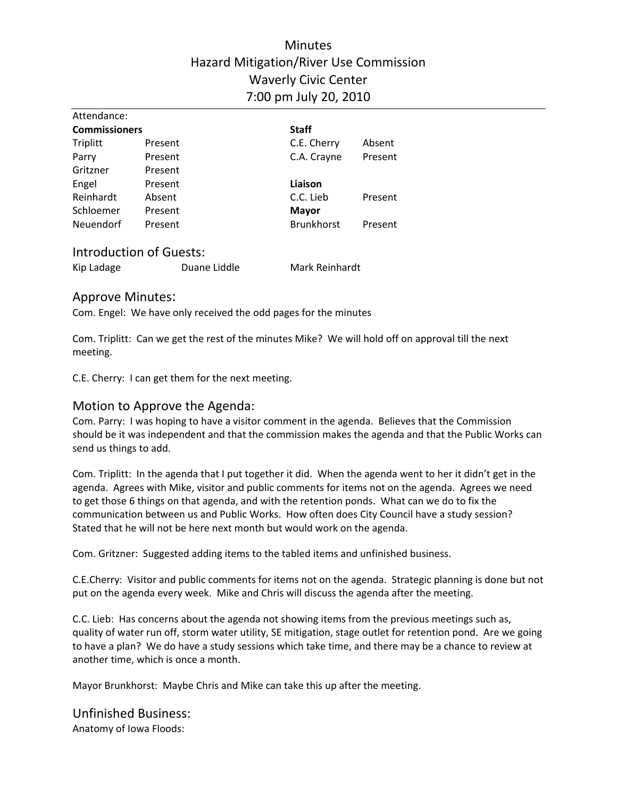### Minutes Hazard Mitigation/River Use Commission Waverly Civic Center 7:00 pm July 20, 2010

| Attendance:          |         |                   |         |
|----------------------|---------|-------------------|---------|
| <b>Commissioners</b> |         | <b>Staff</b>      |         |
| Triplitt             | Present | C.E. Cherry       | Absent  |
| Parry                | Present | C.A. Crayne       | Present |
| Gritzner             | Present |                   |         |
| Engel                | Present | Liaison           |         |
| Reinhardt            | Absent  | C.C. Lieb         | Present |
| Schloemer            | Present | <b>Mayor</b>      |         |
| Neuendorf            | Present | <b>Brunkhorst</b> | Present |
|                      |         |                   |         |

#### Introduction of Guests:

| Kip Ladage<br>Duane Liddle | Mark Reinhardt |
|----------------------------|----------------|
|----------------------------|----------------|

#### Approve Minutes:

Attendance:

Com. Engel: We have only received the odd pages for the minutes

Com. Triplitt: Can we get the rest of the minutes Mike? We will hold off on approval till the next meeting.

C.E. Cherry: I can get them for the next meeting.

#### Motion to Approve the Agenda:

Com. Parry: I was hoping to have a visitor comment in the agenda. Believes that the Commission should be it was independent and that the commission makes the agenda and that the Public Works can send us things to add.

Com. Triplitt: In the agenda that I put together it did. When the agenda went to her it didn't get in the agenda. Agrees with Mike, visitor and public comments for items not on the agenda. Agrees we need to get those 6 things on that agenda, and with the retention ponds. What can we do to fix the communication between us and Public Works. How often does City Council have a study session? Stated that he will not be here next month but would work on the agenda.

Com. Gritzner: Suggested adding items to the tabled items and unfinished business.

C.E.Cherry: Visitor and public comments for items not on the agenda. Strategic planning is done but not put on the agenda every week. Mike and Chris will discuss the agenda after the meeting.

C.C. Lieb: Has concerns about the agenda not showing items from the previous meetings such as, quality of water run off, storm water utility, SE mitigation, stage outlet for retention pond. Are we going to have a plan? We do have a study sessions which take time, and there may be a chance to review at another time, which is once a month.

Mayor Brunkhorst: Maybe Chris and Mike can take this up after the meeting.

# Unfinished Business:

Anatomy of Iowa Floods: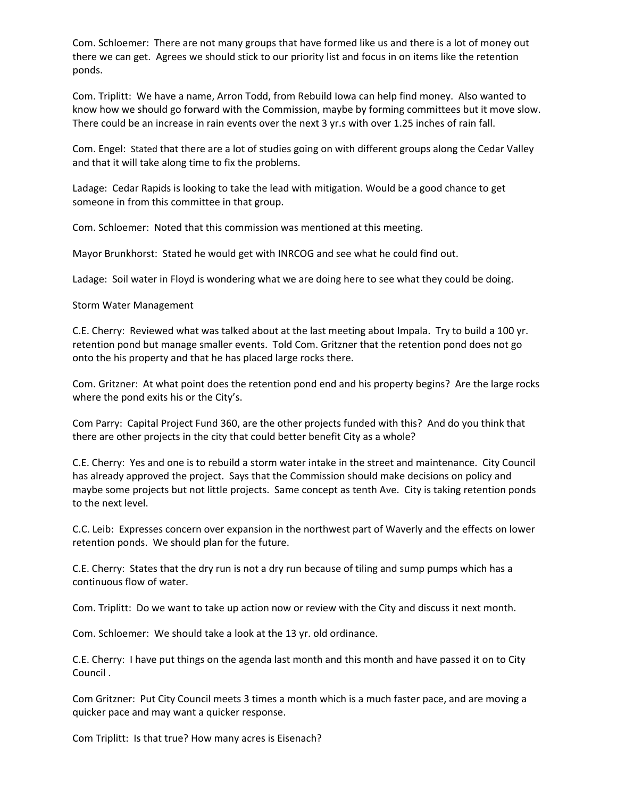Com. Schloemer: There are not many groups that have formed like us and there is a lot of money out there we can get. Agrees we should stick to our priority list and focus in on items like the retention ponds.

Com. Triplitt: We have a name, Arron Todd, from Rebuild Iowa can help find money. Also wanted to know how we should go forward with the Commission, maybe by forming committees but it move slow. There could be an increase in rain events over the next 3 yr.s with over 1.25 inches of rain fall.

Com. Engel: Stated that there are a lot of studies going on with different groups along the Cedar Valley and that it will take along time to fix the problems.

Ladage: Cedar Rapids is looking to take the lead with mitigation. Would be a good chance to get someone in from this committee in that group.

Com. Schloemer: Noted that this commission was mentioned at this meeting.

Mayor Brunkhorst: Stated he would get with INRCOG and see what he could find out.

Ladage: Soil water in Floyd is wondering what we are doing here to see what they could be doing.

Storm Water Management

C.E. Cherry: Reviewed what was talked about at the last meeting about Impala. Try to build a 100 yr. retention pond but manage smaller events. Told Com. Gritzner that the retention pond does not go onto the his property and that he has placed large rocks there.

Com. Gritzner: At what point does the retention pond end and his property begins? Are the large rocks where the pond exits his or the City's.

Com Parry: Capital Project Fund 360, are the other projects funded with this? And do you think that there are other projects in the city that could better benefit City as a whole?

C.E. Cherry: Yes and one is to rebuild a storm water intake in the street and maintenance. City Council has already approved the project. Says that the Commission should make decisions on policy and maybe some projects but not little projects. Same concept as tenth Ave. City is taking retention ponds to the next level.

C.C. Leib: Expresses concern over expansion in the northwest part of Waverly and the effects on lower retention ponds. We should plan for the future.

C.E. Cherry: States that the dry run is not a dry run because of tiling and sump pumps which has a continuous flow of water.

Com. Triplitt: Do we want to take up action now or review with the City and discuss it next month.

Com. Schloemer: We should take a look at the 13 yr. old ordinance.

C.E. Cherry: I have put things on the agenda last month and this month and have passed it on to City Council .

Com Gritzner: Put City Council meets 3 times a month which is a much faster pace, and are moving a quicker pace and may want a quicker response.

Com Triplitt: Is that true? How many acres is Eisenach?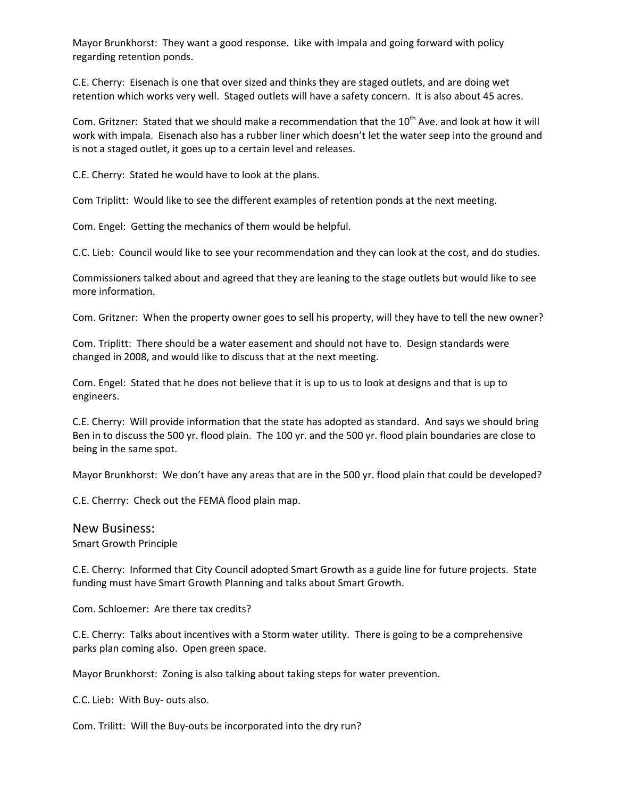Mayor Brunkhorst: They want a good response. Like with Impala and going forward with policy regarding retention ponds.

C.E. Cherry: Eisenach is one that over sized and thinks they are staged outlets, and are doing wet retention which works very well. Staged outlets will have a safety concern. It is also about 45 acres.

Com. Gritzner: Stated that we should make a recommendation that the 10<sup>th</sup> Ave. and look at how it will work with impala. Eisenach also has a rubber liner which doesn't let the water seep into the ground and is not a staged outlet, it goes up to a certain level and releases.

C.E. Cherry: Stated he would have to look at the plans.

Com Triplitt: Would like to see the different examples of retention ponds at the next meeting.

Com. Engel: Getting the mechanics of them would be helpful.

C.C. Lieb: Council would like to see your recommendation and they can look at the cost, and do studies.

Commissioners talked about and agreed that they are leaning to the stage outlets but would like to see more information.

Com. Gritzner: When the property owner goes to sell his property, will they have to tell the new owner?

Com. Triplitt: There should be a water easement and should not have to. Design standards were changed in 2008, and would like to discuss that at the next meeting.

Com. Engel: Stated that he does not believe that it is up to us to look at designs and that is up to engineers.

C.E. Cherry: Will provide information that the state has adopted as standard. And says we should bring Ben in to discuss the 500 yr. flood plain. The 100 yr. and the 500 yr. flood plain boundaries are close to being in the same spot.

Mayor Brunkhorst: We don't have any areas that are in the 500 yr. flood plain that could be developed?

C.E. Cherrry: Check out the FEMA flood plain map.

#### New Business:

Smart Growth Principle

C.E. Cherry: Informed that City Council adopted Smart Growth as a guide line for future projects. State funding must have Smart Growth Planning and talks about Smart Growth.

Com. Schloemer: Are there tax credits?

C.E. Cherry: Talks about incentives with a Storm water utility. There is going to be a comprehensive parks plan coming also. Open green space.

Mayor Brunkhorst: Zoning is also talking about taking steps for water prevention.

C.C. Lieb: With Buy‐ outs also.

Com. Trilitt: Will the Buy‐outs be incorporated into the dry run?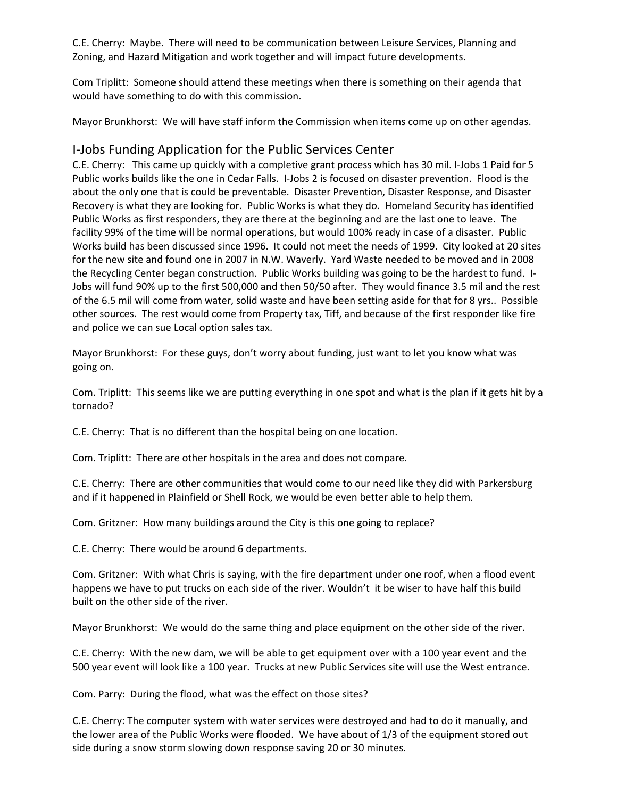C.E. Cherry: Maybe. There will need to be communication between Leisure Services, Planning and Zoning, and Hazard Mitigation and work together and will impact future developments.

Com Triplitt: Someone should attend these meetings when there is something on their agenda that would have something to do with this commission.

Mayor Brunkhorst: We will have staff inform the Commission when items come up on other agendas.

#### I‐Jobs Funding Application for the Public Services Center

C.E. Cherry: This came up quickly with a completive grant process which has 30 mil. I‐Jobs 1 Paid for 5 Public works builds like the one in Cedar Falls. I‐Jobs 2 is focused on disaster prevention. Flood is the about the only one that is could be preventable. Disaster Prevention, Disaster Response, and Disaster Recovery is what they are looking for. Public Works is what they do. Homeland Security has identified Public Works as first responders, they are there at the beginning and are the last one to leave. The facility 99% of the time will be normal operations, but would 100% ready in case of a disaster. Public Works build has been discussed since 1996. It could not meet the needs of 1999. City looked at 20 sites for the new site and found one in 2007 in N.W. Waverly. Yard Waste needed to be moved and in 2008 the Recycling Center began construction. Public Works building was going to be the hardest to fund. I‐ Jobs will fund 90% up to the first 500,000 and then 50/50 after. They would finance 3.5 mil and the rest of the 6.5 mil will come from water, solid waste and have been setting aside for that for 8 yrs.. Possible other sources. The rest would come from Property tax, Tiff, and because of the first responder like fire and police we can sue Local option sales tax.

Mayor Brunkhorst: For these guys, don't worry about funding, just want to let you know what was going on.

Com. Triplitt: This seems like we are putting everything in one spot and what is the plan if it gets hit by a tornado?

C.E. Cherry: That is no different than the hospital being on one location.

Com. Triplitt: There are other hospitals in the area and does not compare.

C.E. Cherry: There are other communities that would come to our need like they did with Parkersburg and if it happened in Plainfield or Shell Rock, we would be even better able to help them.

Com. Gritzner: How many buildings around the City is this one going to replace?

C.E. Cherry: There would be around 6 departments.

Com. Gritzner: With what Chris is saying, with the fire department under one roof, when a flood event happens we have to put trucks on each side of the river. Wouldn't it be wiser to have half this build built on the other side of the river.

Mayor Brunkhorst: We would do the same thing and place equipment on the other side of the river.

C.E. Cherry: With the new dam, we will be able to get equipment over with a 100 year event and the 500 year event will look like a 100 year. Trucks at new Public Services site will use the West entrance.

Com. Parry: During the flood, what was the effect on those sites?

C.E. Cherry: The computer system with water services were destroyed and had to do it manually, and the lower area of the Public Works were flooded. We have about of 1/3 of the equipment stored out side during a snow storm slowing down response saving 20 or 30 minutes.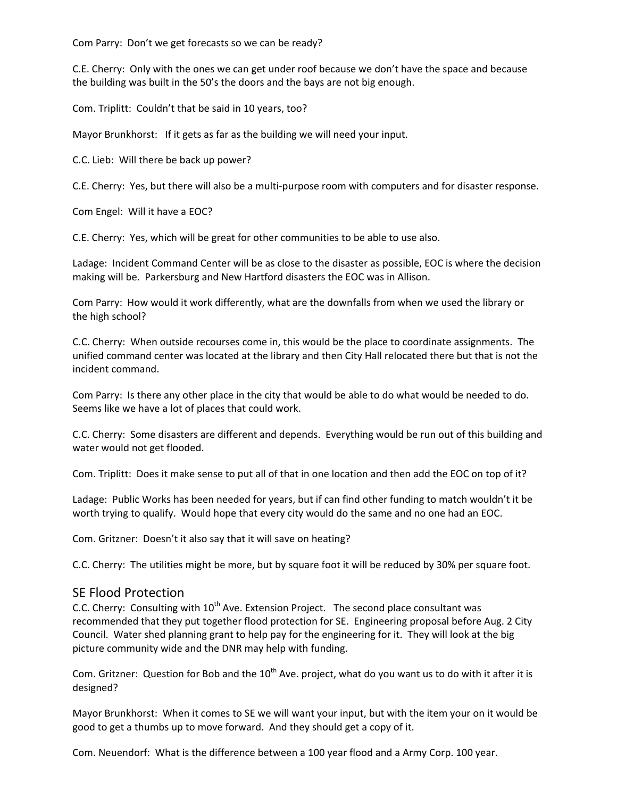Com Parry: Don't we get forecasts so we can be ready?

C.E. Cherry: Only with the ones we can get under roof because we don't have the space and because the building was built in the 50's the doors and the bays are not big enough.

Com. Triplitt: Couldn't that be said in 10 years, too?

Mayor Brunkhorst: If it gets as far as the building we will need your input.

C.C. Lieb: Will there be back up power?

C.E. Cherry: Yes, but there will also be a multi‐purpose room with computers and for disaster response.

Com Engel: Will it have a EOC?

C.E. Cherry: Yes, which will be great for other communities to be able to use also.

Ladage: Incident Command Center will be as close to the disaster as possible, EOC is where the decision making will be. Parkersburg and New Hartford disasters the EOC was in Allison.

Com Parry: How would it work differently, what are the downfalls from when we used the library or the high school?

C.C. Cherry: When outside recourses come in, this would be the place to coordinate assignments. The unified command center was located at the library and then City Hall relocated there but that is not the incident command.

Com Parry: Is there any other place in the city that would be able to do what would be needed to do. Seems like we have a lot of places that could work.

C.C. Cherry: Some disasters are different and depends. Everything would be run out of this building and water would not get flooded.

Com. Triplitt: Does it make sense to put all of that in one location and then add the EOC on top of it?

Ladage: Public Works has been needed for years, but if can find other funding to match wouldn't it be worth trying to qualify. Would hope that every city would do the same and no one had an EOC.

Com. Gritzner: Doesn't it also say that it will save on heating?

C.C. Cherry: The utilities might be more, but by square foot it will be reduced by 30% per square foot.

#### SE Flood Protection

C.C. Cherry: Consulting with  $10<sup>th</sup>$  Ave. Extension Project. The second place consultant was recommended that they put together flood protection for SE. Engineering proposal before Aug. 2 City Council. Water shed planning grant to help pay for the engineering for it. They will look at the big picture community wide and the DNR may help with funding.

Com. Gritzner: Question for Bob and the  $10^{th}$  Ave. project, what do you want us to do with it after it is designed?

Mayor Brunkhorst: When it comes to SE we will want your input, but with the item your on it would be good to get a thumbs up to move forward. And they should get a copy of it.

Com. Neuendorf: What is the difference between a 100 year flood and a Army Corp. 100 year.